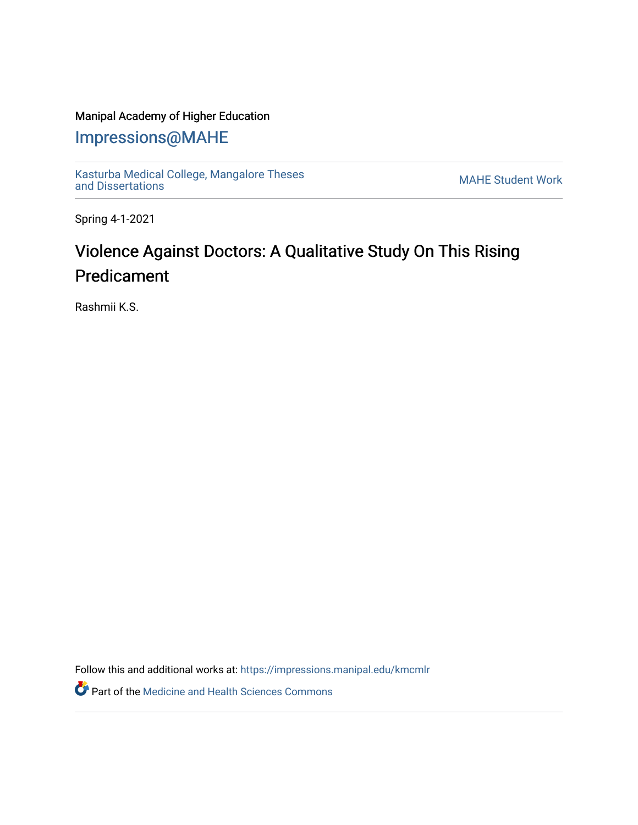## Manipal Academy of Higher Education

## [Impressions@MAHE](https://impressions.manipal.edu/)

[Kasturba Medical College, Mangalore Theses](https://impressions.manipal.edu/kmcmlr) Kasturba Medical College, Mangalore Theses<br>[and Dissertations](https://impressions.manipal.edu/kmcmlr) MAHE Student Work

Spring 4-1-2021

## Violence Against Doctors: A Qualitative Study On This Rising Predicament

Rashmii K.S.

Follow this and additional works at: [https://impressions.manipal.edu/kmcmlr](https://impressions.manipal.edu/kmcmlr?utm_source=impressions.manipal.edu%2Fkmcmlr%2F40&utm_medium=PDF&utm_campaign=PDFCoverPages) 

Part of the [Medicine and Health Sciences Commons](http://network.bepress.com/hgg/discipline/648?utm_source=impressions.manipal.edu%2Fkmcmlr%2F40&utm_medium=PDF&utm_campaign=PDFCoverPages)